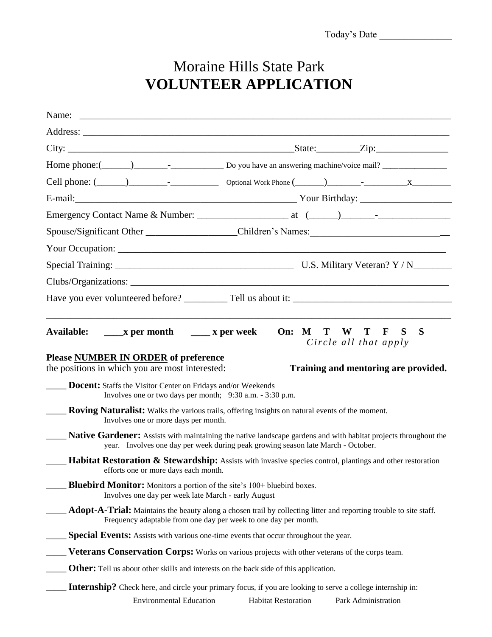## Moraine Hills State Park **VOLUNTEER APPLICATION**

| Spouse/Significant Other _______________________Children's Names: __________________________________   |                                                                                  |                            |                                                                                                                                    |   |  |
|--------------------------------------------------------------------------------------------------------|----------------------------------------------------------------------------------|----------------------------|------------------------------------------------------------------------------------------------------------------------------------|---|--|
|                                                                                                        |                                                                                  |                            |                                                                                                                                    |   |  |
|                                                                                                        |                                                                                  |                            |                                                                                                                                    |   |  |
|                                                                                                        |                                                                                  |                            |                                                                                                                                    |   |  |
| Have you ever volunteered before? Tell us about it:                                                    |                                                                                  |                            |                                                                                                                                    |   |  |
|                                                                                                        |                                                                                  |                            |                                                                                                                                    |   |  |
| Available:                                                                                             | $\frac{1}{2}$ x per month $\frac{1}{2}$ x per week                               | On: M                      | S<br>T<br>W<br>T<br>$\mathbf F$<br>Circle all that apply                                                                           | S |  |
| Please NUMBER IN ORDER of preference<br>the positions in which you are most interested:                |                                                                                  |                            | Training and mentoring are provided.                                                                                               |   |  |
| <b>Docent:</b> Staffs the Visitor Center on Fridays and/or Weekends                                    | Involves one or two days per month; 9:30 a.m. - 3:30 p.m.                        |                            |                                                                                                                                    |   |  |
| <b>Roving Naturalist:</b> Walks the various trails, offering insights on natural events of the moment. | Involves one or more days per month.                                             |                            |                                                                                                                                    |   |  |
|                                                                                                        | year. Involves one day per week during peak growing season late March - October. |                            | <b>Native Gardener:</b> Assists with maintaining the native landscape gardens and with habitat projects throughout the             |   |  |
|                                                                                                        | efforts one or more days each month.                                             |                            | <b>Habitat Restoration &amp; Stewardship:</b> Assists with invasive species control, plantings and other restoration               |   |  |
| <b>Bluebird Monitor:</b> Monitors a portion of the site's 100+ bluebird boxes.                         | Involves one day per week late March - early August                              |                            |                                                                                                                                    |   |  |
|                                                                                                        | Frequency adaptable from one day per week to one day per month.                  |                            | Adopt-A-Trial: Maintains the beauty along a chosen trail by collecting litter and reporting trouble to site staff.                 |   |  |
| Special Events: Assists with various one-time events that occur throughout the year.                   |                                                                                  |                            |                                                                                                                                    |   |  |
|                                                                                                        |                                                                                  |                            | <b>Veterans Conservation Corps:</b> Works on various projects with other veterans of the corps team.                               |   |  |
| <b>Other:</b> Tell us about other skills and interests on the back side of this application.           |                                                                                  |                            |                                                                                                                                    |   |  |
|                                                                                                        | <b>Environmental Education</b>                                                   | <b>Habitat Restoration</b> | Internship? Check here, and circle your primary focus, if you are looking to serve a college internship in:<br>Park Administration |   |  |